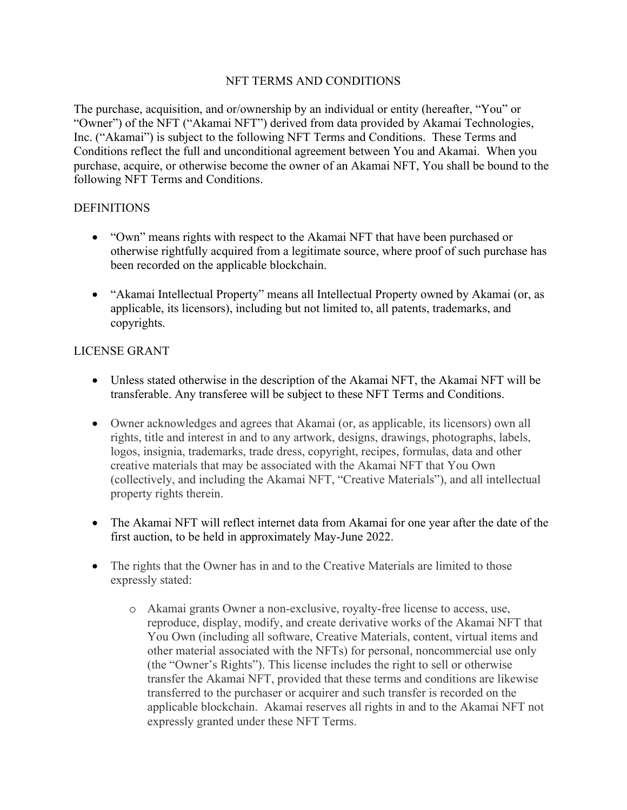## NFT TERMS AND CONDITIONS

The purchase, acquisition, and or/ownership by an individual or entity (hereafter, "You" or "Owner") of the NFT ("Akamai NFT") derived from data provided by Akamai Technologies, Inc. ("Akamai") is subject to the following NFT Terms and Conditions. These Terms and Conditions reflect the full and unconditional agreement between You and Akamai. When you purchase, acquire, or otherwise become the owner of an Akamai NFT, You shall be bound to the following NFT Terms and Conditions.

### DEFINITIONS

- "Own" means rights with respect to the Akamai NFT that have been purchased or otherwise rightfully acquired from a legitimate source, where proof of such purchase has been recorded on the applicable blockchain.
- "Akamai Intellectual Property" means all Intellectual Property owned by Akamai (or, as applicable, its licensors), including but not limited to, all patents, trademarks, and copyrights.

## LICENSE GRANT

- Unless stated otherwise in the description of the Akamai NFT, the Akamai NFT will be transferable. Any transferee will be subject to these NFT Terms and Conditions.
- Owner acknowledges and agrees that Akamai (or, as applicable, its licensors) own all rights, title and interest in and to any artwork, designs, drawings, photographs, labels, logos, insignia, trademarks, trade dress, copyright, recipes, formulas, data and other creative materials that may be associated with the Akamai NFT that You Own (collectively, and including the Akamai NFT, "Creative Materials"), and all intellectual property rights therein.
- The Akamai NFT will reflect internet data from Akamai for one year after the date of the first auction, to be held in approximately May-June 2022.
- The rights that the Owner has in and to the Creative Materials are limited to those expressly stated:
	- o Akamai grants Owner a non-exclusive, royalty-free license to access, use, reproduce, display, modify, and create derivative works of the Akamai NFT that You Own (including all software, Creative Materials, content, virtual items and other material associated with the NFTs) for personal, noncommercial use only (the "Owner's Rights"). This license includes the right to sell or otherwise transfer the Akamai NFT, provided that these terms and conditions are likewise transferred to the purchaser or acquirer and such transfer is recorded on the applicable blockchain. Akamai reserves all rights in and to the Akamai NFT not expressly granted under these NFT Terms.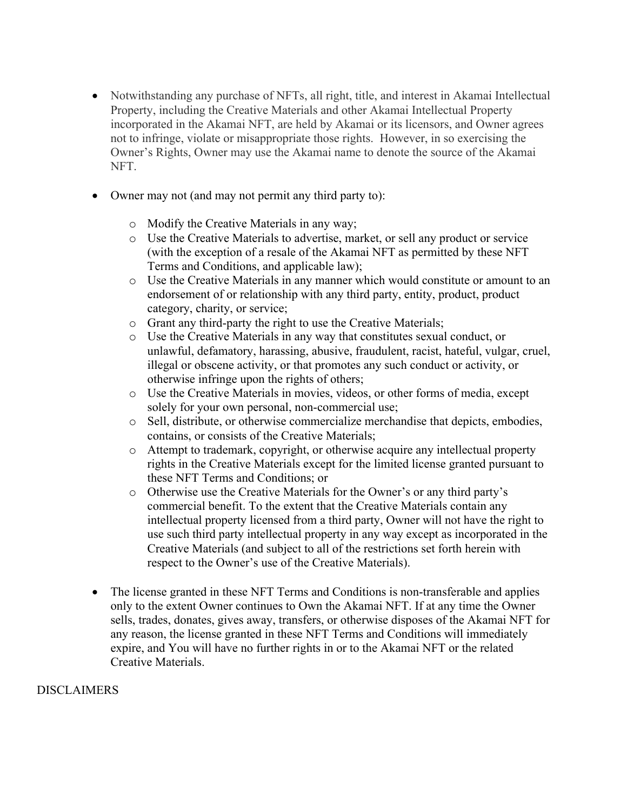- Notwithstanding any purchase of NFTs, all right, title, and interest in Akamai Intellectual Property, including the Creative Materials and other Akamai Intellectual Property incorporated in the Akamai NFT, are held by Akamai or its licensors, and Owner agrees not to infringe, violate or misappropriate those rights. However, in so exercising the Owner's Rights, Owner may use the Akamai name to denote the source of the Akamai NFT.
- Owner may not (and may not permit any third party to):
	- o Modify the Creative Materials in any way;
	- o Use the Creative Materials to advertise, market, or sell any product or service (with the exception of a resale of the Akamai NFT as permitted by these NFT Terms and Conditions, and applicable law);
	- o Use the Creative Materials in any manner which would constitute or amount to an endorsement of or relationship with any third party, entity, product, product category, charity, or service;
	- o Grant any third-party the right to use the Creative Materials;
	- o Use the Creative Materials in any way that constitutes sexual conduct, or unlawful, defamatory, harassing, abusive, fraudulent, racist, hateful, vulgar, cruel, illegal or obscene activity, or that promotes any such conduct or activity, or otherwise infringe upon the rights of others;
	- o Use the Creative Materials in movies, videos, or other forms of media, except solely for your own personal, non-commercial use;
	- o Sell, distribute, or otherwise commercialize merchandise that depicts, embodies, contains, or consists of the Creative Materials;
	- o Attempt to trademark, copyright, or otherwise acquire any intellectual property rights in the Creative Materials except for the limited license granted pursuant to these NFT Terms and Conditions; or
	- o Otherwise use the Creative Materials for the Owner's or any third party's commercial benefit. To the extent that the Creative Materials contain any intellectual property licensed from a third party, Owner will not have the right to use such third party intellectual property in any way except as incorporated in the Creative Materials (and subject to all of the restrictions set forth herein with respect to the Owner's use of the Creative Materials).
- The license granted in these NFT Terms and Conditions is non-transferable and applies only to the extent Owner continues to Own the Akamai NFT. If at any time the Owner sells, trades, donates, gives away, transfers, or otherwise disposes of the Akamai NFT for any reason, the license granted in these NFT Terms and Conditions will immediately expire, and You will have no further rights in or to the Akamai NFT or the related Creative Materials.

### DISCLAIMERS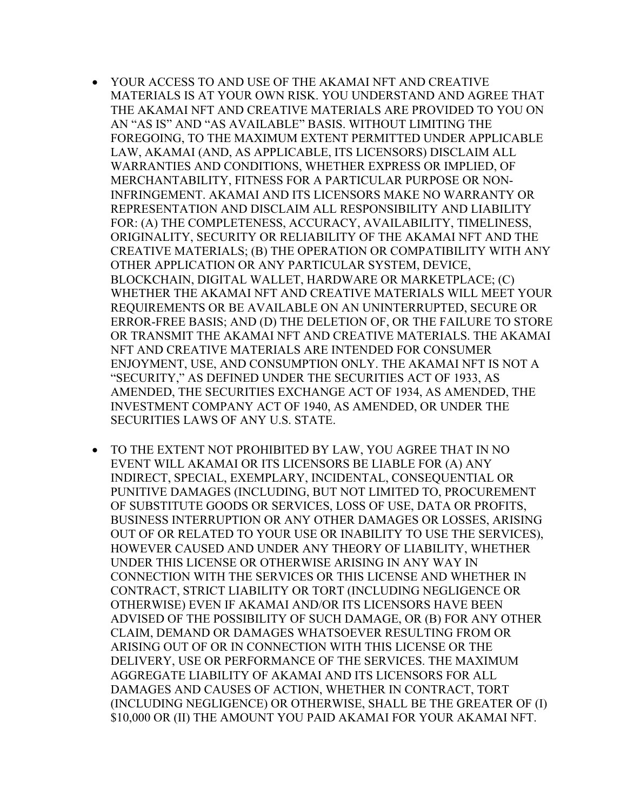- YOUR ACCESS TO AND USE OF THE AKAMAI NFT AND CREATIVE MATERIALS IS AT YOUR OWN RISK. YOU UNDERSTAND AND AGREE THAT THE AKAMAI NFT AND CREATIVE MATERIALS ARE PROVIDED TO YOU ON AN "AS IS" AND "AS AVAILABLE" BASIS. WITHOUT LIMITING THE FOREGOING, TO THE MAXIMUM EXTENT PERMITTED UNDER APPLICABLE LAW, AKAMAI (AND, AS APPLICABLE, ITS LICENSORS) DISCLAIM ALL WARRANTIES AND CONDITIONS, WHETHER EXPRESS OR IMPLIED, OF MERCHANTABILITY, FITNESS FOR A PARTICULAR PURPOSE OR NON-INFRINGEMENT. AKAMAI AND ITS LICENSORS MAKE NO WARRANTY OR REPRESENTATION AND DISCLAIM ALL RESPONSIBILITY AND LIABILITY FOR: (A) THE COMPLETENESS, ACCURACY, AVAILABILITY, TIMELINESS, ORIGINALITY, SECURITY OR RELIABILITY OF THE AKAMAI NFT AND THE CREATIVE MATERIALS; (B) THE OPERATION OR COMPATIBILITY WITH ANY OTHER APPLICATION OR ANY PARTICULAR SYSTEM, DEVICE, BLOCKCHAIN, DIGITAL WALLET, HARDWARE OR MARKETPLACE; (C) WHETHER THE AKAMAI NFT AND CREATIVE MATERIALS WILL MEET YOUR REQUIREMENTS OR BE AVAILABLE ON AN UNINTERRUPTED, SECURE OR ERROR-FREE BASIS; AND (D) THE DELETION OF, OR THE FAILURE TO STORE OR TRANSMIT THE AKAMAI NFT AND CREATIVE MATERIALS. THE AKAMAI NFT AND CREATIVE MATERIALS ARE INTENDED FOR CONSUMER ENJOYMENT, USE, AND CONSUMPTION ONLY. THE AKAMAI NFT IS NOT A "SECURITY," AS DEFINED UNDER THE SECURITIES ACT OF 1933, AS AMENDED, THE SECURITIES EXCHANGE ACT OF 1934, AS AMENDED, THE INVESTMENT COMPANY ACT OF 1940, AS AMENDED, OR UNDER THE SECURITIES LAWS OF ANY U.S. STATE.
- TO THE EXTENT NOT PROHIBITED BY LAW, YOU AGREE THAT IN NO EVENT WILL AKAMAI OR ITS LICENSORS BE LIABLE FOR (A) ANY INDIRECT, SPECIAL, EXEMPLARY, INCIDENTAL, CONSEQUENTIAL OR PUNITIVE DAMAGES (INCLUDING, BUT NOT LIMITED TO, PROCUREMENT OF SUBSTITUTE GOODS OR SERVICES, LOSS OF USE, DATA OR PROFITS, BUSINESS INTERRUPTION OR ANY OTHER DAMAGES OR LOSSES, ARISING OUT OF OR RELATED TO YOUR USE OR INABILITY TO USE THE SERVICES), HOWEVER CAUSED AND UNDER ANY THEORY OF LIABILITY, WHETHER UNDER THIS LICENSE OR OTHERWISE ARISING IN ANY WAY IN CONNECTION WITH THE SERVICES OR THIS LICENSE AND WHETHER IN CONTRACT, STRICT LIABILITY OR TORT (INCLUDING NEGLIGENCE OR OTHERWISE) EVEN IF AKAMAI AND/OR ITS LICENSORS HAVE BEEN ADVISED OF THE POSSIBILITY OF SUCH DAMAGE, OR (B) FOR ANY OTHER CLAIM, DEMAND OR DAMAGES WHATSOEVER RESULTING FROM OR ARISING OUT OF OR IN CONNECTION WITH THIS LICENSE OR THE DELIVERY, USE OR PERFORMANCE OF THE SERVICES. THE MAXIMUM AGGREGATE LIABILITY OF AKAMAI AND ITS LICENSORS FOR ALL DAMAGES AND CAUSES OF ACTION, WHETHER IN CONTRACT, TORT (INCLUDING NEGLIGENCE) OR OTHERWISE, SHALL BE THE GREATER OF (I) \$10,000 OR (II) THE AMOUNT YOU PAID AKAMAI FOR YOUR AKAMAI NFT.